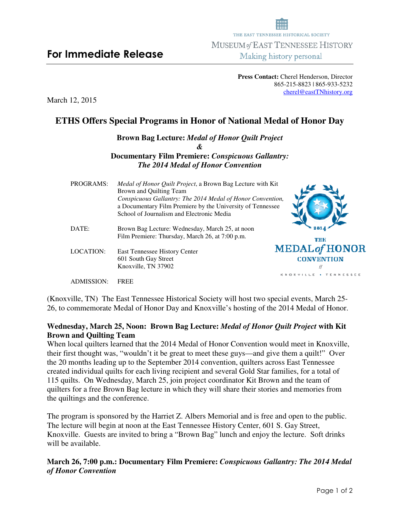# **For Immediate Release Immediate**

**Press Contact:** Cherel Henderson, Director 865-215-8823 | 865 8823 865-933-5232

THE EAST TENNESSEE HISTORICAL SOCIETY MUSEUM of EAST TENNESSEE HISTORY Making history personal

March 12, 2015

# **ETHS Offers Special Programs in Honor of National Medal of Honor Day**

**Brown Bag Lecture Lecture:** *Medal of Honor Quilt Project*  **Documentary Film Premiere Premiere:** *Conspicuous Gallantry:*  **The 2014 Medal of Honor Convention** *&* 

|                  | Conspicuous Gallantry: The 2014 Medal of Honor Convention,<br>a Documentary Film Premiere by the University of Tennessee |                       |
|------------------|--------------------------------------------------------------------------------------------------------------------------|-----------------------|
|                  | School of Journalism and Electronic Media                                                                                |                       |
| DATE:            | Brown Bag Lecture: Wednesday, March 25, at noon                                                                          |                       |
|                  | Film Premiere: Thursday, March 26, at 7:00 p.m.                                                                          | тик                   |
| <b>LOCATION:</b> | East Tennessee History Center                                                                                            | MEDAL of HONOI        |
|                  | 601 South Gay Street                                                                                                     | <b>CONVENTION</b>     |
|                  | Knoxville, TN 37902                                                                                                      | Н                     |
|                  |                                                                                                                          | KNOXVILLE + FENNESSEE |

PROGRAMS: Medal of Honor Quilt Project, a Brown Bag Lecture with Kit

Brown and Quilting Team Quilting Team

ADMISSION: FREE

(Knoxville, TN) The East Tennessee Historical Society will host two special events, March 25-26, to commemorate Medal of Honor Day and Knoxville's hosting of the 2014 Medal of Honor.

## Wednesday, March 25, Noon: Brown Bag Lecture: Medal of Honor Quilt Project with Kit **Brown and Quilting Team**

When local quilters learned that the 2014 Medal of Honor Convention would meet in Knoxville, When local quilters learned that the 2014 Medal of Honor Convention would meet in Knoxville<br>their first thought was, "wouldn't it be great to meet these guys—and give them a quilt!" Over the 20 months leading up to the September 2014 convention, quilters across East Tennessee created individual quilts for each living recipient and several Gold Star famili Star families, for a total of 115 quilts. On Wednesday, March 25, join project coordinator Kit Brown and the team of quilters for a free Brown Bag lecture in which they will share their stories and memories from the quiltings and the conference. On Wednesday, March 25, join project coordinator Kit Brown and the team of<br>a free Brown Bag lecture in which they will share their stories and memories from<br>s and the conference.<br>n is sponsored by the Harriet Z. Albers Mem and give them a quilt!" Over<br>ters across East Tennessee<br>I Star families, for a total of<br>it Brown and the team of<br>r stories and memories from<br>is free and open to the public.

The program is sponsored by the Harriet Z. Albers Memorial and is free and open to the public. The lecture will begin at noon at the East Tennessee History Center, 601 S. Gay Street, Knoxville. Guests are invited to bring a "Brown Bag" lunch and enjoy the lecture. Soft drinks will be available.

#### **March 26, 7:00 p.m.: Documentary Film Premiere:** *Conspicuous Gallantry: The 2014 Medal of Honor Convention*